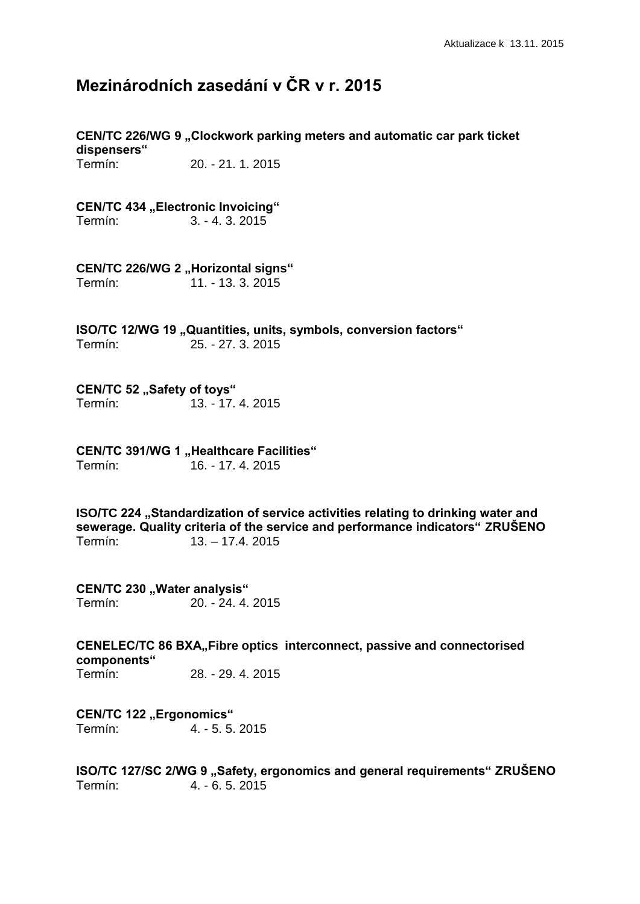# **Mezinárodních zasedání v ČR v r. 2015**

**CEN/TC 226/WG 9 "Clockwork parking meters and automatic car park ticket dispensers"**

Termín: 20. - 21. 1. 2015

**CEN/TC 434 "Electronic Invoicing"** 

Termín: 3. - 4. 3. 2015

**CEN/TC 226/WG 2 , Horizontal signs"** 

Termín: 11. - 13. 3. 2015

**ISO/TC 12/WG 19 "Quantities, units, symbols, conversion factors"** Termín: 25. - 27. 3. 2015

### **CEN/TC 52 "Safety of toys"**

Termín: 13. - 17. 4. 2015

**CEN/TC 391/WG 1 "Healthcare Facilities"** Termín: 16. - 17. 4. 2015

**ISO/TC 224** "Standardization of service activities relating to drinking water and **sewerage. Quality criteria of the service and performance indicators" ZRUŠENO** Termín: 13. – 17.4. 2015

**CEN/TC 230 , Water analysis"** Termín: 20. - 24. 4. 2015

**CENELEC/TC 86 BXA. Fibre optics interconnect, passive and connectorised components"** Termín: 28. - 29. 4. 2015

**CEN/TC 122 "Ergonomics"** Termín: 4. - 5. 5. 2015

**ISO/TC 127/SC 2/WG 9 ..Safety, ergonomics and general requirements" ZRUŠENO** Termín: 4. - 6. 5. 2015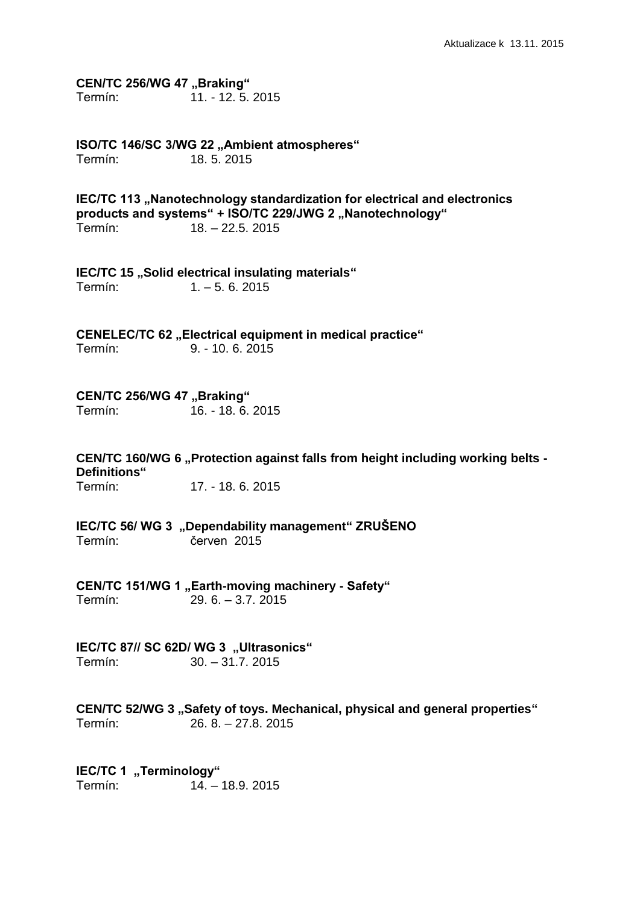**CEN/TC 256/WG 47 "Braking"** Termín: 11. - 12. 5. 2015

**ISO/TC 146/SC 3/WG 22 "Ambient atmospheres"** Termín: 18. 5. 2015

**IEC/TC 113** "Nanotechnology standardization for electrical and electronics products and systems" + **ISO/TC 229/JWG 2** "Nanotechnology" Termín: 18. – 22.5. 2015

**IEC/TC 15** "Solid electrical insulating materials" Termín: 1. – 5. 6. 2015

CENELEC/TC 62 ..Electrical equipment in medical practice" Termín: 9. - 10. 6. 2015

**CEN/TC 256/WG 47 "Braking"** Termín: 16. - 18. 6. 2015

**CEN/TC 160/WG 6 "Protection against falls from height including working belts - Definitions"** Termín: 17. - 18. 6. 2015

**IEC/TC 56/ WG 3 "Dependability management" ZRUŠENO**

Termín: červen 2015

**CEN/TC 151/WG 1 "Earth-moving machinery - Safety"** Termín: 29. 6. – 3.7. 2015

IEC/TC 87// SC 62D/ WG 3 "Ultrasonics" Termín: 30. – 31.7. 2015

**CEN/TC 52/WG 3 "Safety of toys. Mechanical, physical and general properties"** Termín: 26. 8. – 27.8. 2015

**IEC/TC 1 ..Terminology"** Termín: 14. – 18.9. 2015